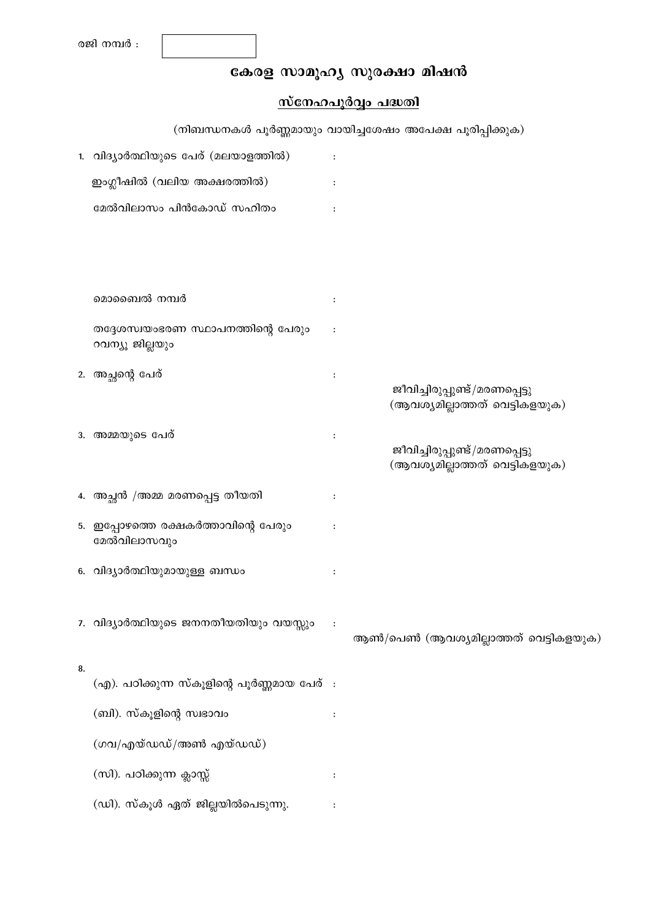# കേരള സാമൂഹ്യ സുരക്ഷാ മിഷൻ

## സ്നേഹപൂർവ്വം പദ്ധതി

(നിബന്ധനകൾ പൂർണ്ണമായും വായിച്ചശേഷം അപേക്ഷ പൂരിപ്പിക്കുക) 1. വിദ്യാർത്ഥിയുടെ പേര് (മലയാളത്തിൽ)  $\cdot$ ഇംഗ്ലീഷിൽ (വലിയ അക്ഷരത്തിൽ)  $\ddot{\cdot}$ മേൽവിലാസം പിൻകോഡ് സഹിതം  $\ddot{\phantom{a}}$ മൊബൈൽ നമ്പർ തദ്ദേശസ്വയംഭരണ സ്ഥാപനത്തിന്റെ പേരും  $\ddot{\cdot}$ റവന്യൂ ജില്ലയും 2. അച്ഛന്റെ പേര്  $\ddot{\cdot}$ ജീവിച്ചിരുപ്പുണ്ട്/മരണപ്പെട്ടു (ആവശ്യമില്ലാത്തത് വെട്ടികളയുക) 3. അമ്മയുടെ പേര്  $\cdot$ ജീവിച്ചിരുപ്പുണ്ട്/മരണപ്പെട്ടു (ആവശ്യമില്ലാത്തത് വെട്ടികളയുക) 4. അച്ഛൻ /അമ്മ മരണപ്പെട്ട തീയതി  $\mathbf{I}$ 5. ഇപ്പോഴത്തെ രക്ഷകർത്താവിന്റെ പേരും  $\ddot{\cdot}$ മേൽവിലാസവും 6. വിദ്യാർത്ഥിയുമായുള്ള ബന്ധം  $\ddot{\cdot}$ 7. വിദ്യാർത്ഥിയുടെ ജനനതീയതിയും വയസ്സും  $\ddot{\cdot}$ ആൺ/പെൺ (ആവശ്യമില്ലാത്തത് വെട്ടികളയുക) 8. (എ). പഠിക്കുന്ന സ്കൂളിന്റെ പൂർണ്ണമായ പേര് : (ബി). സ്കൂളിന്റെ സ്വഭാവം  $\cdot$ (ഗവ/എയ്ഡഡ്/അൺ എയ്ഡഡ്) (സി). പഠിക്കുന്ന ക്ലാസ്സ്  $\cdot$ 

(ഡി). സ്കൂൾ ഏത് ജില്ലയിൽപെടുന്നു.  $\cdot$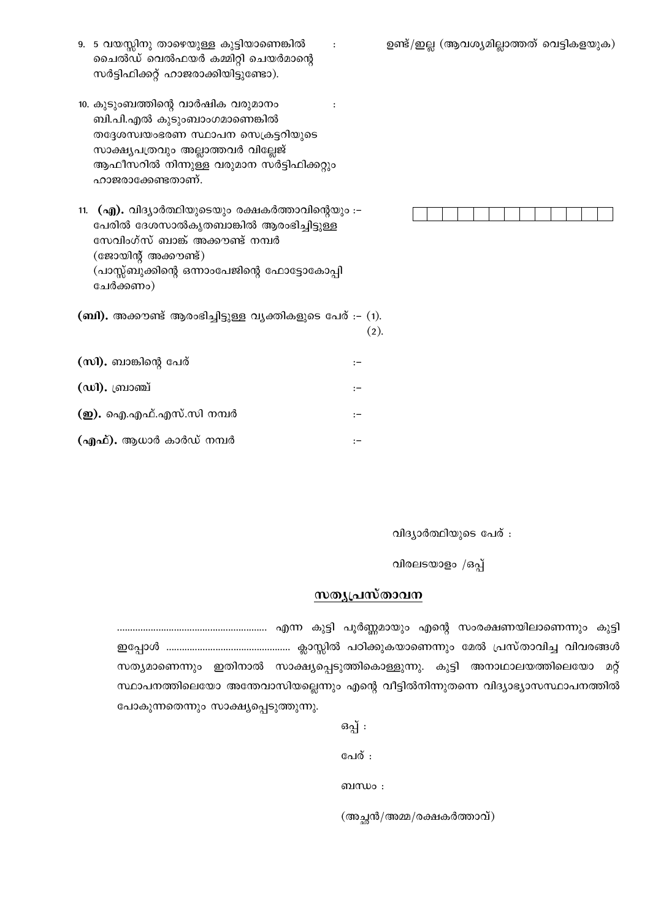9. 5 വയസ്സിനു താഴെയുള്ള കുട്ടിയാണെങ്കിൽ ചൈൽഡ് വെൽഫയർ കമ്മിറ്റി ചെയർമാന്റെ സർട്ടിഫിക്കറ്റ് ഹാജരാക്കിയിട്ടുണ്ടോ).

 $\cdot$ 

- 10. കുടുംബത്തിന്റെ വാർഷിക വരുമാനം  $\cdot$ ബി.പി.എൽ കുടുംബാംഗമാണെങ്കിൽ തദ്ദേശസ്വയംഭരണ സ്ഥാപന സെക്രട്ടറിയുടെ സാക്ഷ്യപത്രവും അല്ലാത്തവർ വില്ലേജ് ആഫീസറിൽ നിന്നുള്ള വരുമാന സർട്ടിഫിക്കറ്റും ഹാജരാക്കേണ്ടതാണ്.
- 11. (എ). വിദ്യാർത്ഥിയുടെയും രക്ഷകർത്താവിന്റെയും :– പേരിൽ ദേശസാൽകൃതബാങ്കിൽ ആരംഭിച്ചിട്ടുള്ള സേവിംഗ്സ് ബാങ്ക് അക്കൗണ്ട് നമ്പർ  $(\alpha\alpha)$ യിന്റ് അക്കൗണ്ട്) (പാസ്സ്ബുക്കിന്റെ ഒന്നാംപേജിന്റെ ഫോട്ടോകോപ്പി ചേർക്കണം)
- $($ ബി). അക്കൗണ്ട് ആരംഭിച്ചിട്ടുള്ള വൃക്തികളുടെ പേര് :-  $(1)$ .  $(2).$
- (സി). ബാങ്കിന്റെ പേര്  $\cdot$  – (ഡി). ബ്രാഞ്ച്  $\cdot$ (னு). ഐ.എഫ്.എസ്.സി നമ്പർ  $\cdot$  – (എഫ്). ആധാർ കാർഡ് നമ്പർ  $\cdot$

വിദ്യാർത്ഥിയുടെ പേര് :

വിരലടയാളം /ഒപ്പ്

## സതൃപ്രസ്താവന

സത്യമാണെന്നും ഇതിനാൽ സാക്ഷ്യപ്പെടുത്തികൊള്ളുന്നു. കുട്ടി അനാഥാലയത്തിലെയോ മറ്റ് സ്ഥാപനത്തിലെയോ അന്തേവാസിയല്ലെന്നും എന്റെ വീട്ടിൽനിന്നുതന്നെ വിദ്യാഭ്യാസസ്ഥാപനത്തിൽ പോകുന്നതെന്നും സാക്ഷ്യപ്പെടുത്തുന്നു.

> ഒപ്പ് : പേര് : ബന്ധം : (അച്ഛൻ/അമ്മ/രക്ഷകർത്താവ്)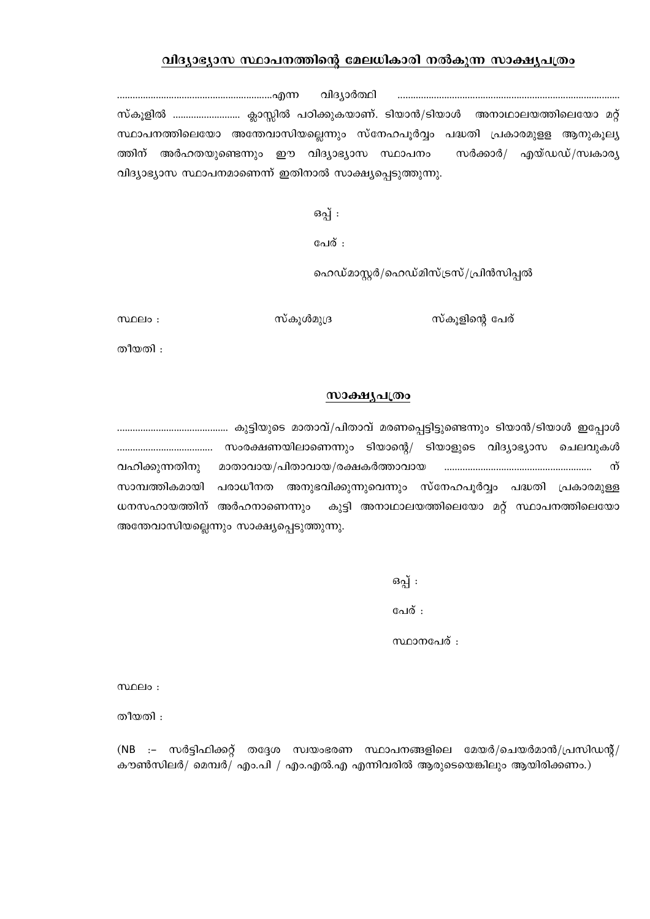## വിദ്യാഭ്യാസ സ്ഥാപനത്തിന്റെ മേലധികാരി നൽകുന്ന സാക്ഷ്യപത്രം

വിദ്യാർത്ഥി സ്കൂളിൽ ............................. ക്ലാസ്സിൽ പഠിക്കുകയാണ്. ടിയാൻ/ടിയാൾ അനാഥാലയത്തിലെയോ മറ്റ് സ്ഥാപനത്തിലെയോ അന്തേവാസിയല്ലെന്നും സ്നേഹപൂർവ്വം പദ്ധതി പ്രകാരമുളള ആനുകൂല്യ ത്തിന് അർഹതയുണ്ടെന്നും ഈ വിദ്യാഭ്യാസ സ്ഥാപനം \_സർക്കാർ*/ എ*യ്ഡഡ്/സ്വകാര്യ വിദ്യാഭ്യാസ സ്ഥാപനമാണെന്ന് ഇതിനാൽ സാക്ഷ്യപ്പെടുത്തുന്നു.

ഒപ്പ് :

പേര് :

ഹെഡ്മാസ്റ്റർ/ഹെഡ്മിസ്ട്രസ്/പ്രിൻസിപ്പൽ

സ്കുളിന്റെ പേര്

സ്കൂൾമൂദ്ര

 $m$  $0e$  : തീയതി :

### സാക്ഷൃപത്രം

വഹിക്കുന്നതിനു ന് സാമ്പത്തികമായി പരാധീനത അനുഭവിക്കുന്നുവെന്നും സ്നേഹപൂർവ്വം പദ്ധതി പ്രകാരമുള്ള ധനസഹായത്തിന് അർഹനാണെന്നും കുട്ടി അനാഥാലയത്തിലെയോ മറ്റ് സ്ഥാപനത്തിലെയോ അന്തേവാസിയല്ലെന്നും സാക്ഷ്യപ്പെടുത്തുന്നു.

> ഒപ്പ് : പേര് :

സ്ഥാനപേര് :

 $m$  $\Omega$ 

തീയതി :

(NB :- സർട്ടിഫിക്കറ്റ് തദ്ദേശ സ്ഥയംഭരണ സ്ഥാപനങ്ങളിലെ മേയർ/ചെയർമാൻ/പ്രസിഡന്റ്/ കൗൺസിലർ/ മെമ്പർ/ എം.പി / എം.എൽ.എ എന്നിവരിൽ ആരുടെയെങ്കിലും ആയിരിക്കണം.)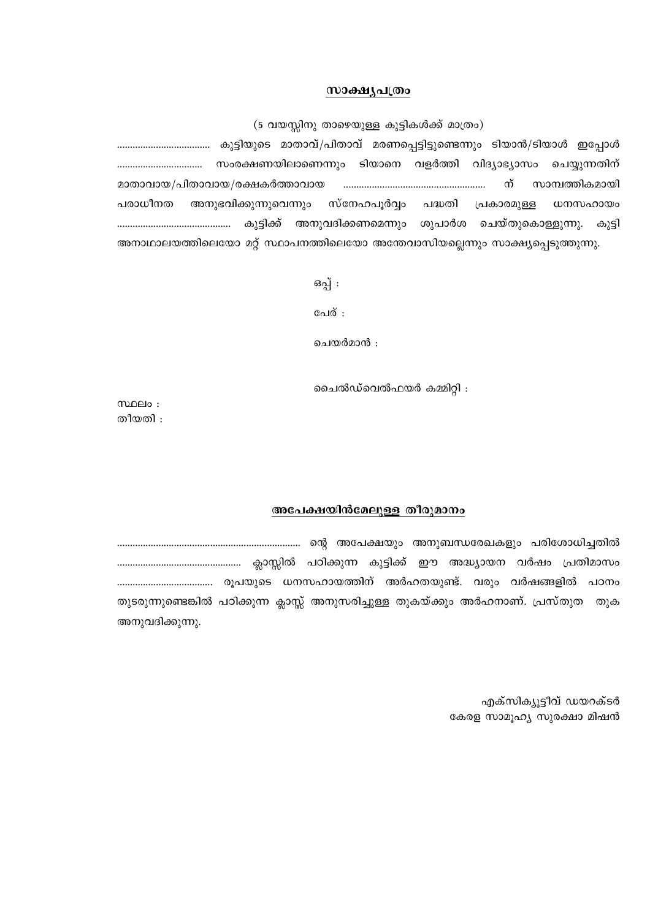#### സാക്ഷ്യപത്രം

(5 വയസ്സിനു താഴെയുള്ള കുട്ടികൾക്ക് മാത്രം)

മാതാവായ/പിതാവായ/രക്ഷകർത്താവായ ന് സാമ്പത്തികമായി അനുഭവിക്കുന്നുവെന്നും സ്നേഹപുർവ്വം പദ്ധതി പരാധീനത പ്രകാരമുള്ള ധനസഹായം ചെയ്തുകൊള്ളുന്നു. കൂട്ടി അനാഥാലയത്തിലെയോ മറ്റ് സ്ഥാപനത്തിലെയോ അന്തേവാസിയല്ലെന്നും സാക്ഷ്യപ്പെടുത്തുന്നു.

ഒപ്പ് :

പേര് :

ചെയർമാൻ :

ചൈൽഡ്വെൽഫയർ കമ്മിറ്റി :

 $m$  $0e$  : തീയതി :

#### അപേക്ഷയിൻമേലുള്ള തീരുമാനം

തുടരുന്നുണ്ടെങ്കിൽ പഠിക്കുന്ന ക്ലാസ്സ് അനുസരിച്ചുള്ള തുകയ്ക്കും അർഹനാണ്. പ്രസ്തുത തുക അനുവദിക്കുന്നു.

> എക്സിക്യൂട്ടീവ് ഡയറക്ടർ കേരള സാമൂഹ്യ സുരക്ഷാ മിഷൻ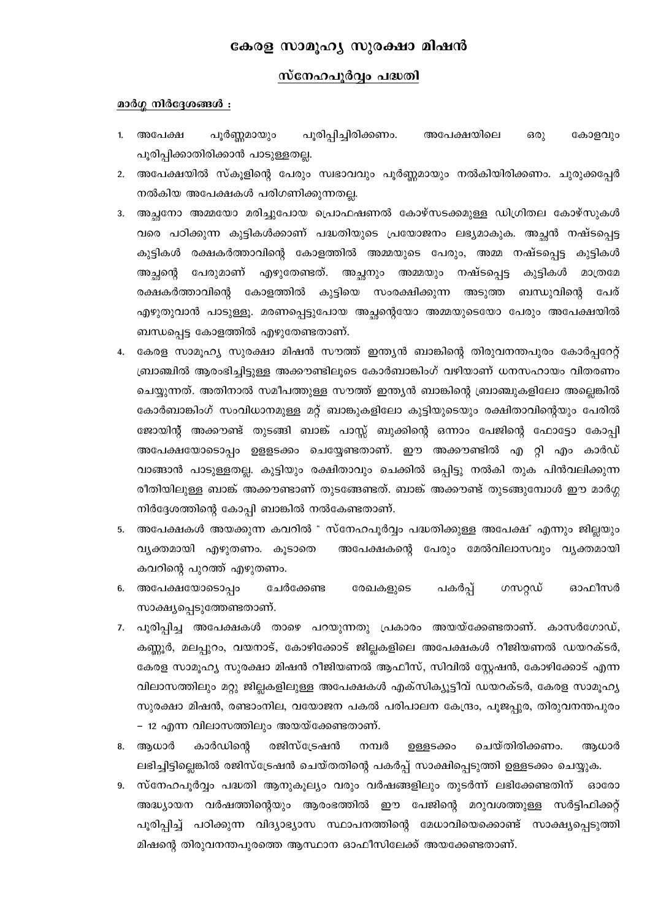## കേരള സാമുഹ്യ സുരക്ഷാ മിഷൻ

## <u>സ്നേഹപൂർവ്വം പദ്ധതി</u>

#### മാർഗ്ഗ നിർദ്ദേശങ്ങൾ :

- പൂർണ്ണമായും പൂരിപ്പിച്ചിരിക്കണം. 1. അപേക്ഷ അപേക്ഷയിലെ ഒരു കോളവും പൂരിപ്പിക്കാതിരിക്കാൻ പാടുള്ളതല്ല.
- 2. അപേക്ഷയിൽ സ്കൂളിന്റെ പേരും സ്വഭാവവും പൂർണ്ണമായും നൽകിയിരിക്കണം. ചുരുക്കപ്പേർ നൽകിയ അപേക്ഷകൾ പരിഗണിക്കുന്നതല്ല.
- അച്ഛനോ അമ്മയോ മരിച്ചുപോയ പ്രൊഫഷണൽ കോഴ്സടക്കമുള്ള ഡിഗ്രിതല കോഴ്സുകൾ  $3.$ വരെ പഠിക്കുന്ന കുട്ടികൾക്കാണ് പദ്ധതിയുടെ പ്രയോജനം ലഭ്യമാകുക. അച്ഛൻ നഷ്ടപ്പെട്ട കുട്ടികൾ രക്ഷകർത്താവിന്റെ കോളത്തിൽ അമ്മയുടെ പേരും, അമ്മ നഷ്ടപ്പെട്ട കുട്ടികൾ അച്ഛന്റെ പേരുമാണ് എഴുതേണ്ടത്. അച്ഛനും അമ്മയും നഷ്ടപ്പെട്ട കുട്ടികൾ മാത്രമേ രക്ഷകർത്താവിന്റെ കോളത്തിൽ കുട്ടിയെ സംരക്ഷിക്കുന്ന അടുത്ത ബന്ധുവിന്റെ പേര് എഴുതുവാൻ പാടുള്ളൂ. മരണപ്പെട്ടുപോയ അച്ഛന്റെയോ അമ്മയുടെയോ പേരും അപേക്ഷയിൽ ബന്ധപ്പെട്ട കോളത്തിൽ എഴുതേണ്ടതാണ്.
- കേരള സാമൂഹ്യ സുരക്ഷാ മിഷൻ സൗത്ത് ഇന്ത്യൻ ബാങ്കിന്റെ തിരുവനന്തപുരം കോർപ്പറേറ്റ് ബ്രാഞ്ചിൽ ആരംഭിച്ചിട്ടുള്ള അക്കൗണ്ടിലൂടെ കോർബാങ്കിംഗ് വഴിയാണ് ധനസഹായം വിതരണം ചെയ്യുന്നത്. അതിനാൽ സമീപത്തുള്ള സൗത്ത് ഇന്ത്യൻ ബാങ്കിന്റെ ബ്രാഞ്ചുകളിലോ അല്ലെങ്കിൽ കോർബാങ്കിംഗ് സംവിധാനമുള്ള മറ്റ് ബാങ്കുകളിലോ കുട്ടിയുടെയും രക്ഷിതാവിന്റെയും പേരിൽ ജോയിന്റ് അക്കൗണ്ട് തുടങ്ങി ബാങ്ക് പാസ്സ് ബുക്കിന്റെ ഒന്നാം പേജിന്റെ ഫോട്ടോ കോപ്പി അപേക്ഷയോടൊപ്പം ഉള്ളടക്കം ചെയ്യേണ്ടതാണ്. ഈ അക്കൗണ്ടിൽ എ റ്റി എം കാർഡ് വാങ്ങാൻ പാടുള്ളതല്ല. കുട്ടിയും രക്ഷിതാവും ചെക്കിൽ ഒപ്പിട്ടു നൽകി തുക പിൻവലിക്കുന്ന രീതിയിലുള്ള ബാങ്ക് അക്കൗണ്ടാണ് തുടങ്ങേണ്ടത്. ബാങ്ക് അക്കൗണ്ട് തുടങ്ങുമ്പോൾ ഈ മാർഗ്ഗ നിർദ്ദേശത്തിന്റെ കോപ്പി ബാങ്കിൽ നൽകേണ്ടതാണ്.
- 5. അപേക്ഷകൾ അയക്കുന്ന കവറിൽ " സ്നേഹപൂർവ്വം പദ്ധതിക്കുള്ള അപേക്ഷ" എന്നും ജില്ലയും വ്യക്തമായി എഴുതണം. കൂടാതെ അപേക്ഷകന്റെ പേരും മേൽവിലാസവും വൃക്തമായി കവറിന്റെ പുറത്ത് എഴുതണം.
- ചേർക്കേണ്ട രേഖകളുടെ 6. അപേക്ഷയോടൊപ്പം പകർപ്പ് ഗസറ്റഡ് ഓഫീസർ സാക്ഷ്യപ്പെടുത്തേണ്ടതാണ്.
- 7. പൂരിപ്പിച്ച അപേക്ഷകൾ താഴെ പറയുന്നതു പ്രകാരം അയയ്ക്കേണ്ടതാണ്. കാസർഗോഡ്, കണ്ണൂർ, മലപ്പുറം, വയനാട്, കോഴിക്കോട് ജില്ലകളിലെ അപേക്ഷകൾ റീജിയണൽ ഡയറക്ടർ, കേരള സാമൂഹ്യ സൂരക്ഷാ മിഷൻ റീജിയണൽ ആഫീസ്, സിവിൽ സേഷൻ, കോഴിക്കോട് എന്ന വിലാസത്തിലും മറ്റു ജില്ലകളിലുള്ള അപേക്ഷകൾ എക്സിക്യൂട്ടീവ് ഡയറക്ടർ, കേരള സാമൂഹ്യ സുരക്ഷാ മിഷൻ, രണ്ടാംനില, വയോജന പകൽ പരിപാലന കേന്ദ്രം, പൂജപ്പുര, തിരുവനന്തപുരം – 12 എന്ന വിലാസത്തിലും അയയ്ക്കേണ്ടതാണ്.
- കാർഡിന്റെ രജിസ്ട്രേഷൻ നമ്പർ ചെയ്തിരിക്കണം. 8. ആധാർ ഉള്ളടക്കം ആധാർ ലഭിച്ചിട്ടില്ലെങ്കിൽ രജിസ്ട്രേഷൻ ചെയ്തതിന്റെ പകർപ്പ് സാക്ഷിപ്പെടുത്തി ഉള്ളടക്കം ചെയ്യുക.
- 9. സ്നേഹപൂർവ്വം പദ്ധതി ആനുകൂല്യം വരും വർഷങ്ങളിലും തുടർന്ന് ലഭിക്കേണ്ടതിന് ഓരോ അദ്ധ്യായന വർഷത്തിന്റെയും ആരംഭത്തിൽ ഈ പേജിന്റെ മറുവശത്തുള്ള സർട്ടിഫിക്കറ്റ് പൂരിപ്പിച്ച് പഠിക്കുന്ന വിദ്യാഭ്യാസ സ്ഥാപനത്തിന്റെ മേധാവിയെക്കൊണ്ട് സാക്ഷ്യപ്പെടുത്തി മിഷന്റെ തിരുവനന്തപുരത്തെ ആസ്ഥാന ഓഫീസിലേക്ക് അയക്കേണ്ടതാണ്.